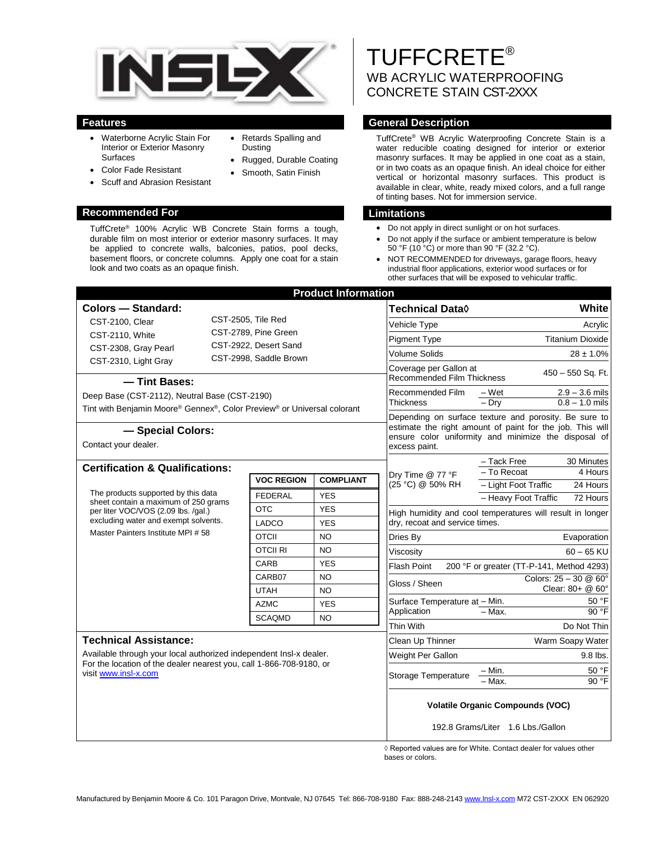

Retards Spalling and

• Rugged, Durable Coating Smooth, Satin Finish

Dusting

- Waterborne Acrylic Stain For Interior or Exterior Masonry Surfaces
- Color Fade Resistant
- Scuff and Abrasion Resistant

### **Recommended For Limitations**

TuffCrete® 100% Acrylic WB Concrete Stain forms a tough, durable film on most interior or exterior masonry surfaces. It may be applied to concrete walls, balconies, patios, pool decks, basement floors, or concrete columns. Apply one coat for a stain look and two coats as an opaque finish.

# TUFFCRETE® WB ACRYLIC WATERPROOFING CONCRETE STAIN CST-2XXX

# **Features General Description**

TuffCrete® WB Acrylic Waterproofing Concrete Stain is a water reducible coating designed for interior or exterior masonry surfaces. It may be applied in one coat as a stain, or in two coats as an opaque finish. An ideal choice for either vertical or horizontal masonry surfaces. This product is available in clear, white, ready mixed colors, and a full range of tinting bases. Not for immersion service.

- Do not apply in direct sunlight or on hot surfaces.
- Do not apply if the surface or ambient temperature is below 50 °F (10 °C) or more than 90 °F (32.2 °C).
- NOT RECOMMENDED for driveways, garage floors, heavy industrial floor applications, exterior wood surfaces or for other surfaces that will be exposed to vehicular traffic.

|                                                                                                                                                                                                   |                                                 |                      | <b>Product Information</b> |                                   |                                                                                                                    |                                                           |                                  |  |
|---------------------------------------------------------------------------------------------------------------------------------------------------------------------------------------------------|-------------------------------------------------|----------------------|----------------------------|-----------------------------------|--------------------------------------------------------------------------------------------------------------------|-----------------------------------------------------------|----------------------------------|--|
| <b>Colors - Standard:</b>                                                                                                                                                                         |                                                 |                      |                            |                                   | Technical Data◊                                                                                                    |                                                           | White                            |  |
| CST-2100, Clear                                                                                                                                                                                   | CST-2505, Tile Red                              |                      |                            |                                   | Vehicle Type                                                                                                       |                                                           | Acrylic                          |  |
| CST-2110, White                                                                                                                                                                                   |                                                 | CST-2789, Pine Green |                            |                                   | <b>Pigment Type</b>                                                                                                |                                                           | <b>Titanium Dioxide</b>          |  |
| CST-2308, Gray Pearl                                                                                                                                                                              | CST-2922, Desert Sand<br>CST-2998, Saddle Brown |                      |                            |                                   | <b>Volume Solids</b>                                                                                               | $28 \pm 1.0\%$                                            |                                  |  |
| CST-2310, Light Gray                                                                                                                                                                              |                                                 |                      |                            |                                   | Coverage per Gallon at<br>450 - 550 Sq. Ft.                                                                        |                                                           |                                  |  |
| - Tint Bases:                                                                                                                                                                                     |                                                 |                      |                            |                                   | <b>Recommended Film Thickness</b>                                                                                  |                                                           |                                  |  |
| Deep Base (CST-2112), Neutral Base (CST-2190)                                                                                                                                                     |                                                 |                      |                            |                                   | Recommended Film                                                                                                   | – Wet                                                     | $2.9 - 3.6$ mils                 |  |
| Tint with Benjamin Moore® Gennex®, Color Preview® or Universal colorant                                                                                                                           |                                                 |                      |                            |                                   | <b>Thickness</b>                                                                                                   | $-$ Dry                                                   | $0.8 - 1.0$ mils                 |  |
|                                                                                                                                                                                                   |                                                 |                      |                            |                                   | Depending on surface texture and porosity. Be sure to<br>estimate the right amount of paint for the job. This will |                                                           |                                  |  |
| - Special Colors:<br>Contact your dealer.                                                                                                                                                         |                                                 |                      |                            |                                   | ensure color uniformity and minimize the disposal of<br>excess paint.                                              |                                                           |                                  |  |
| <b>Certification &amp; Qualifications:</b>                                                                                                                                                        |                                                 |                      |                            |                                   |                                                                                                                    | - Tack Free                                               | 30 Minutes                       |  |
|                                                                                                                                                                                                   | <b>VOC REGION</b>                               | <b>COMPLIANT</b>     |                            | Dry Time @ 77 °F                  | - To Recoat                                                                                                        | 4 Hours                                                   |                                  |  |
| The products supported by this data<br>sheet contain a maximum of 250 grams<br>per liter VOC/VOS (2.09 lbs. /gal.)<br>excluding water and exempt solvents.                                        |                                                 | <b>FEDERAL</b>       | <b>YES</b>                 |                                   | (25 °C) @ 50% RH                                                                                                   | - Light Foot Traffic                                      | 24 Hours                         |  |
|                                                                                                                                                                                                   |                                                 | <b>OTC</b>           | <b>YES</b>                 |                                   |                                                                                                                    | - Heavy Foot Traffic                                      | 72 Hours                         |  |
|                                                                                                                                                                                                   |                                                 | LADCO                | <b>YES</b>                 |                                   | dry, recoat and service times.                                                                                     | High humidity and cool temperatures will result in longer |                                  |  |
| Master Painters Institute MPI # 58                                                                                                                                                                |                                                 | <b>OTCII</b>         | <b>NO</b>                  |                                   | Dries By                                                                                                           | Evaporation                                               |                                  |  |
|                                                                                                                                                                                                   |                                                 | <b>OTCII RI</b>      | <b>NO</b>                  |                                   | Viscosity                                                                                                          |                                                           | $60 - 65$ KU                     |  |
|                                                                                                                                                                                                   |                                                 | <b>CARB</b>          | <b>YES</b>                 |                                   | <b>Flash Point</b>                                                                                                 | 200 °F or greater (TT-P-141, Method 4293)                 |                                  |  |
|                                                                                                                                                                                                   |                                                 | CARB07               | <b>NO</b>                  |                                   |                                                                                                                    |                                                           | Colors: $25 - 30$ @ $60^{\circ}$ |  |
|                                                                                                                                                                                                   |                                                 | <b>UTAH</b>          | <b>NO</b>                  |                                   | Gloss / Sheen                                                                                                      |                                                           | Clear: 80+ @ 60°                 |  |
|                                                                                                                                                                                                   |                                                 | <b>AZMC</b>          | <b>YES</b>                 |                                   | Surface Temperature at - Min.                                                                                      |                                                           | 50 °F                            |  |
|                                                                                                                                                                                                   |                                                 | <b>SCAQMD</b>        | <b>NO</b>                  |                                   | Application                                                                                                        | $-$ Max.                                                  | 90 °F                            |  |
|                                                                                                                                                                                                   |                                                 |                      |                            |                                   | Thin With                                                                                                          |                                                           | Do Not Thin                      |  |
| <b>Technical Assistance:</b><br>Available through your local authorized independent Insl-x dealer.<br>For the location of the dealer nearest you, call 1-866-708-9180, or<br>visit www.insl-x.com |                                                 |                      |                            | Clean Up Thinner                  | Warm Soapy Water                                                                                                   |                                                           |                                  |  |
|                                                                                                                                                                                                   |                                                 |                      |                            | Weight Per Gallon                 |                                                                                                                    | $9.8$ lbs.                                                |                                  |  |
|                                                                                                                                                                                                   |                                                 |                      |                            |                                   | Storage Temperature                                                                                                | – Min.                                                    | 50 °F                            |  |
|                                                                                                                                                                                                   |                                                 |                      |                            |                                   |                                                                                                                    | - Max.                                                    | 90 °F                            |  |
|                                                                                                                                                                                                   |                                                 |                      |                            |                                   | <b>Volatile Organic Compounds (VOC)</b>                                                                            |                                                           |                                  |  |
|                                                                                                                                                                                                   |                                                 |                      |                            | 192.8 Grams/Liter 1.6 Lbs./Gallon |                                                                                                                    |                                                           |                                  |  |

◊ Reported values are for White. Contact dealer for values other bases or colors.